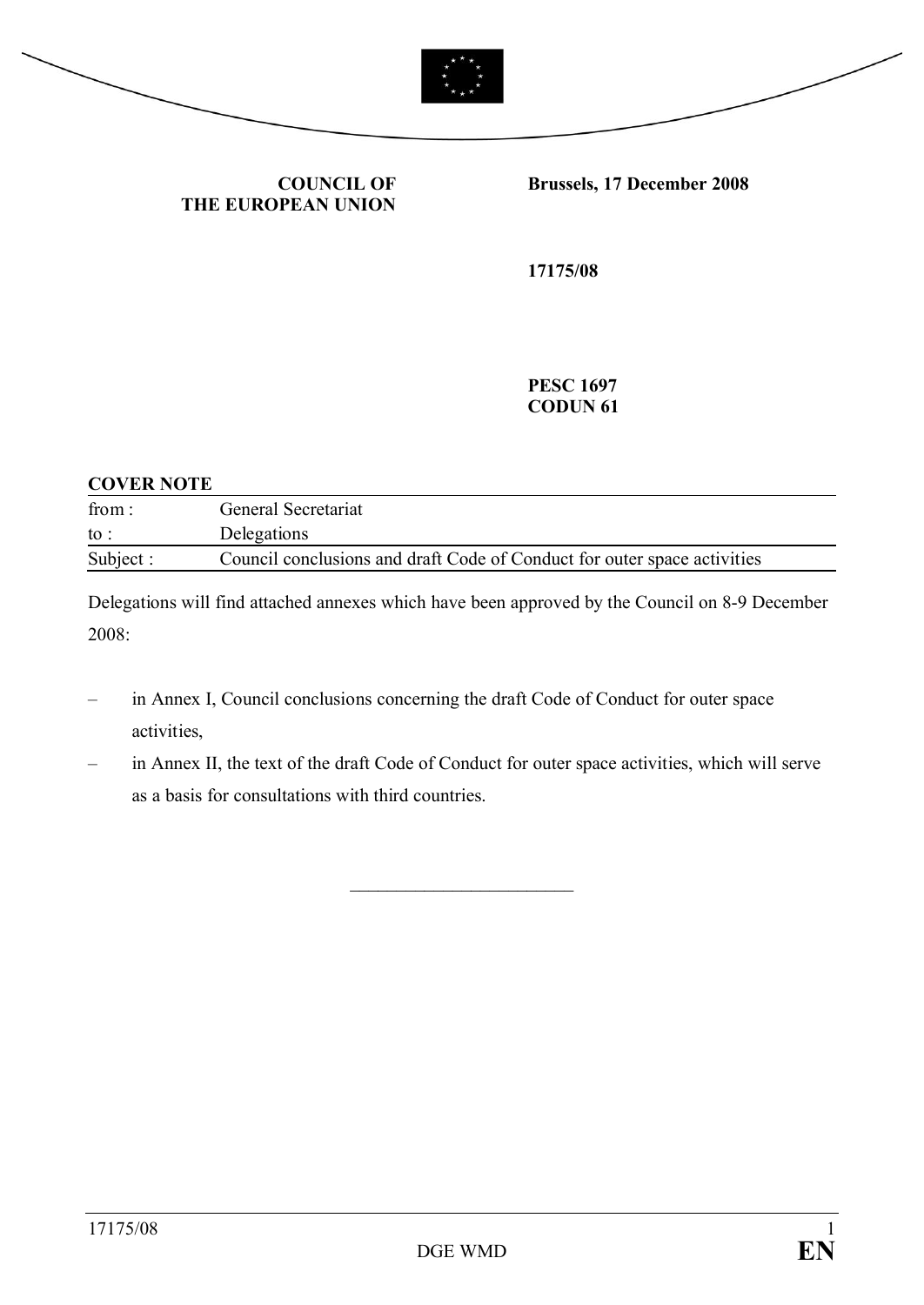



**COUNCIL OF THE EUROPEAN UNION** **Brussels, 17 December 2008**

**17175/08**

**PESC 1697 CODUN 61**

#### **COVER NOTE**

| from:           | General Secretariat                                                      |
|-----------------|--------------------------------------------------------------------------|
| $\mathrm{to}$ : | Delegations                                                              |
| Subject :       | Council conclusions and draft Code of Conduct for outer space activities |

Delegations will find attached annexes which have been approved by the Council on 8-9 December 2008:

- in Annex I, Council conclusions concerning the draft Code of Conduct for outer space activities,
- in Annex II, the text of the draft Code of Conduct for outer space activities, which will serve as a basis for consultations with third countries.

 $\overline{\phantom{a}}$  , which is a set of the set of the set of the set of the set of the set of the set of the set of the set of the set of the set of the set of the set of the set of the set of the set of the set of the set of th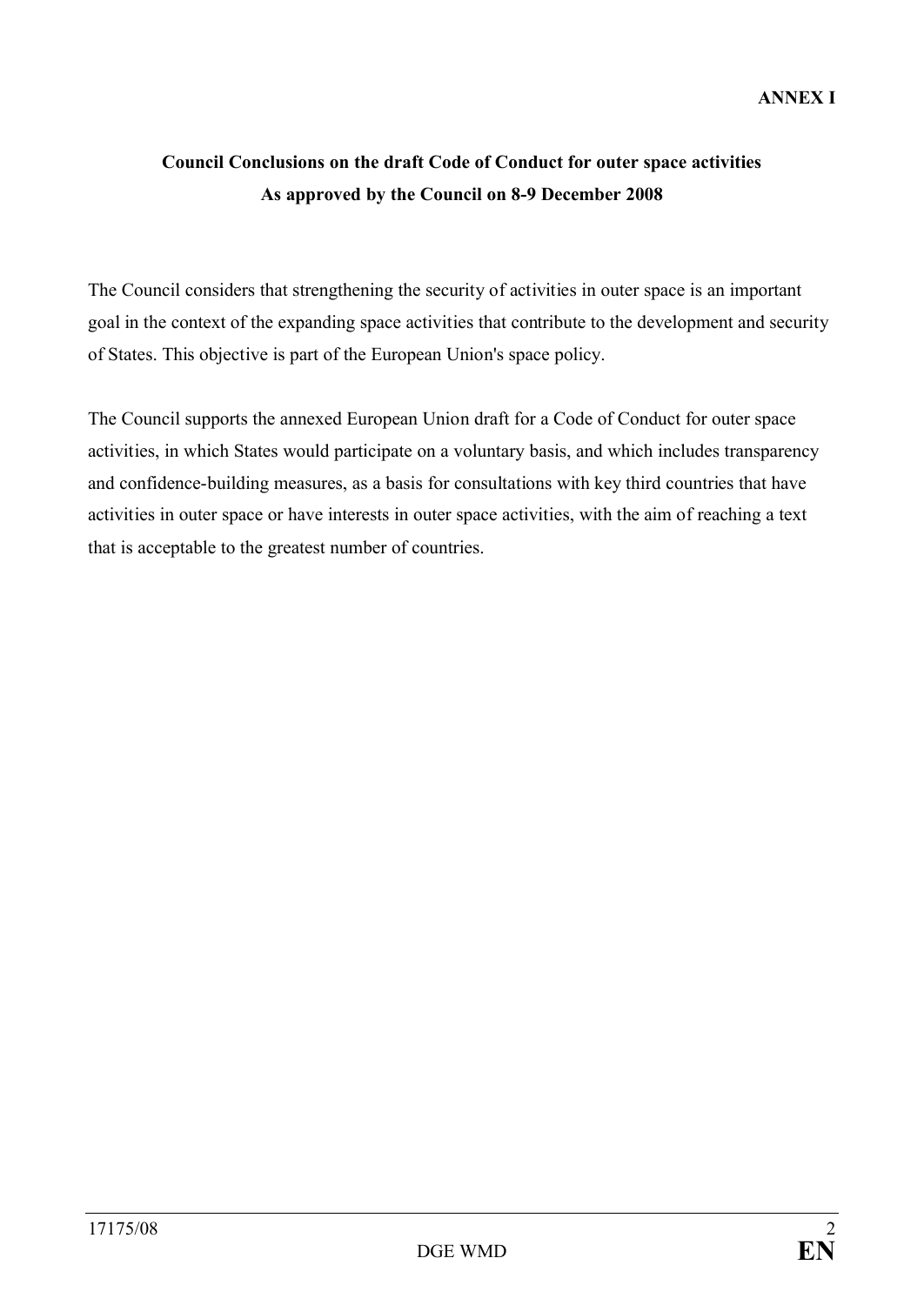# **Council Conclusions on the draft Code of Conduct for outer space activities As approved by the Council on 8-9 December 2008**

The Council considers that strengthening the security of activities in outer space is an important goal in the context of the expanding space activities that contribute to the development and security of States. This objective is part of the European Union's space policy.

The Council supports the annexed European Union draft for a Code of Conduct for outer space activities, in which States would participate on a voluntary basis, and which includes transparency and confidence-building measures, as a basis for consultations with key third countries that have activities in outer space or have interests in outer space activities, with the aim of reaching a text that is acceptable to the greatest number of countries.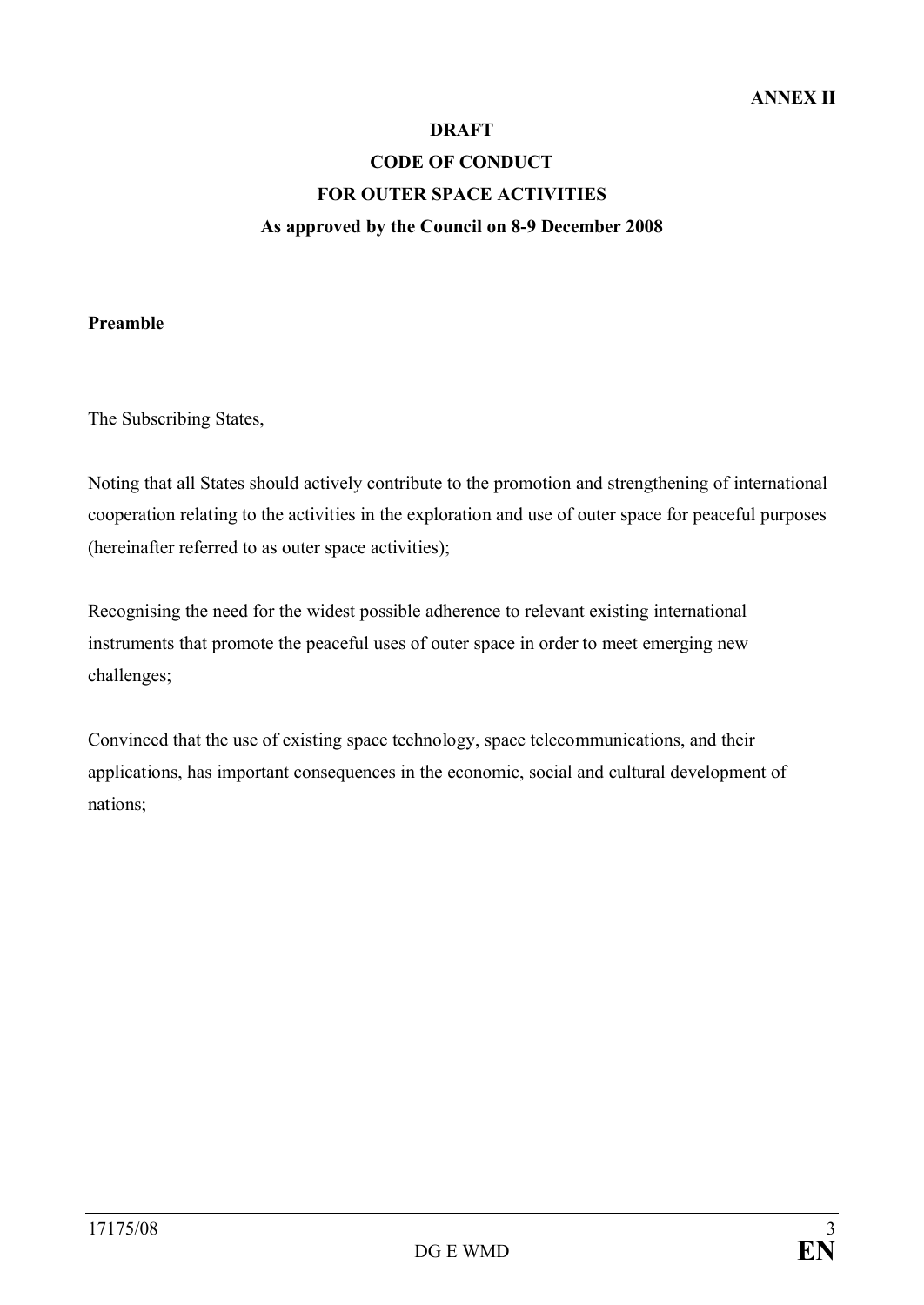#### **DRAFT**

# **CODE OF CONDUCT FOR OUTER SPACE ACTIVITIES As approved by the Council on 8-9 December 2008**

# **Preamble**

The Subscribing States,

Noting that all States should actively contribute to the promotion and strengthening of international cooperation relating to the activities in the exploration and use of outer space for peaceful purposes (hereinafter referred to as outer space activities);

Recognising the need for the widest possible adherence to relevant existing international instruments that promote the peaceful uses of outer space in order to meet emerging new challenges;

Convinced that the use of existing space technology, space telecommunications, and their applications, has important consequences in the economic, social and cultural development of nations;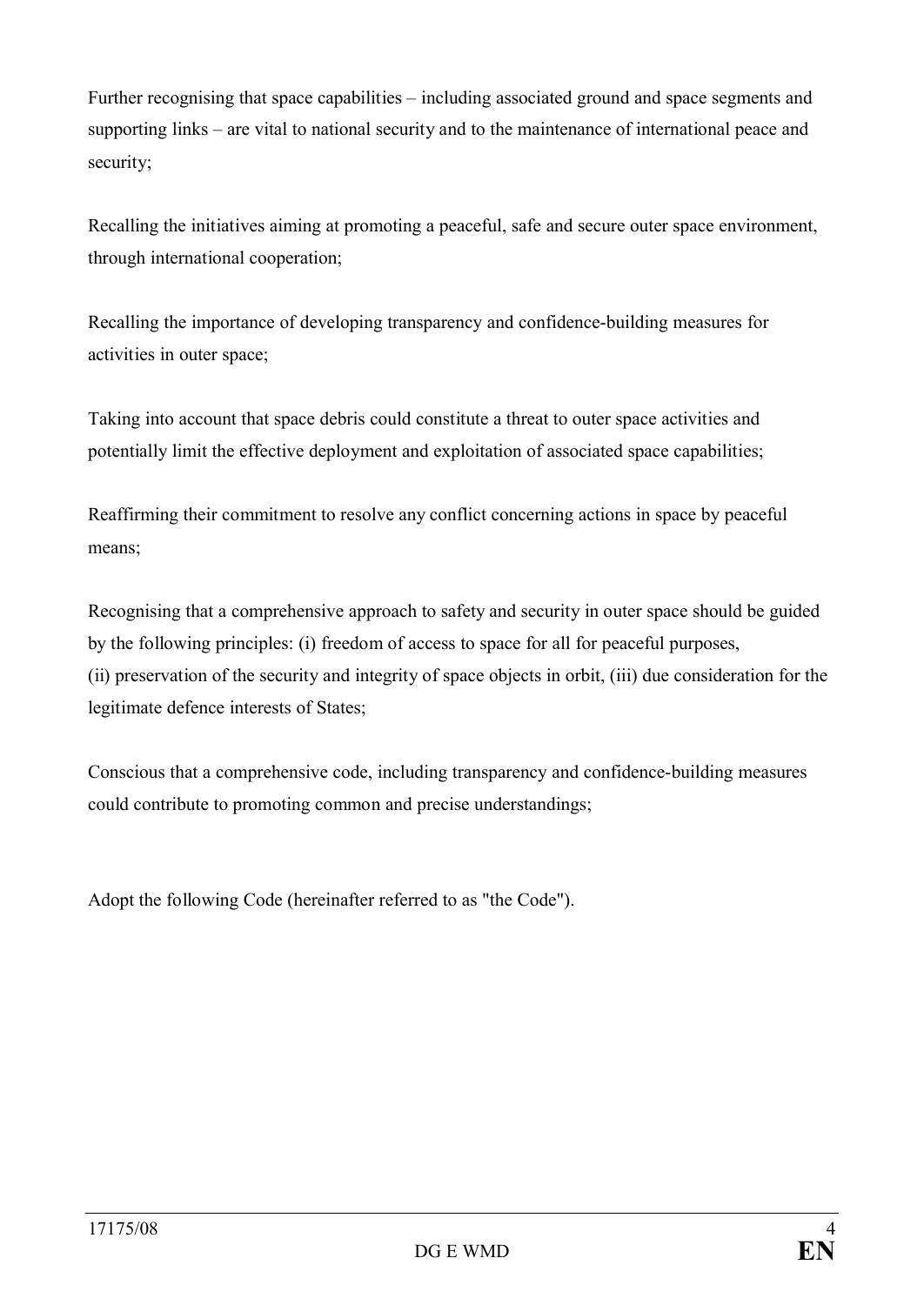Further recognising that space capabilities – including associated ground and space segments and supporting links – are vital to national security and to the maintenance of international peace and security;

Recalling the initiatives aiming at promoting a peaceful, safe and secure outer space environment, through international cooperation;

Recalling the importance of developing transparency and confidence-building measures for activities in outer space;

Taking into account that space debris could constitute a threat to outer space activities and potentially limit the effective deployment and exploitation of associated space capabilities;

Reaffirming their commitment to resolve any conflict concerning actions in space by peaceful means;

Recognising that a comprehensive approach to safety and security in outer space should be guided by the following principles: (i) freedom of access to space for all for peaceful purposes, (ii) preservation of the security and integrity of space objects in orbit, (iii) due consideration for the legitimate defence interests of States;

Conscious that a comprehensive code, including transparency and confidence-building measures could contribute to promoting common and precise understandings;

Adopt the following Code (hereinafter referred to as "the Code").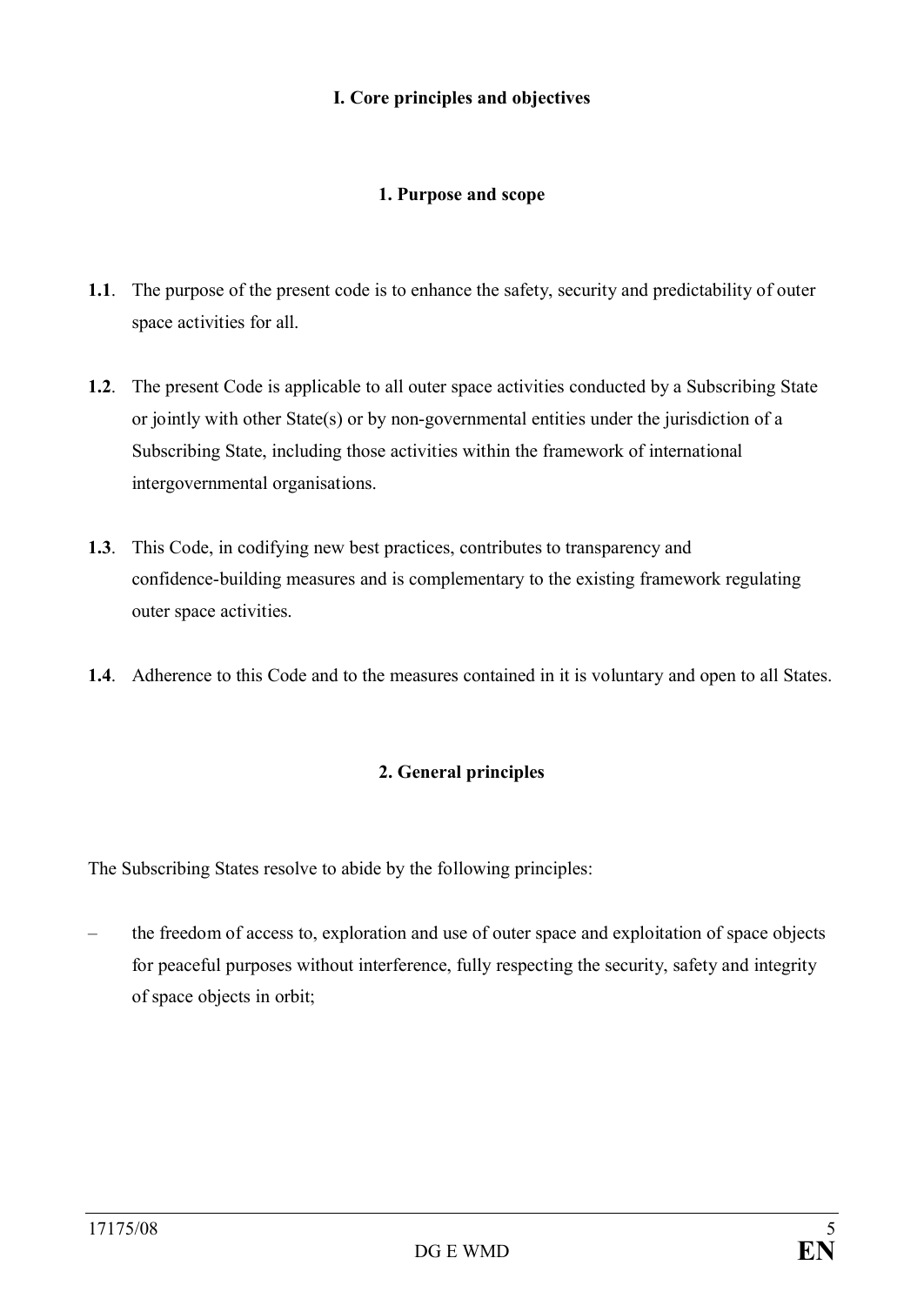# **I. Core principles and objectives**

# **1. Purpose and scope**

- **1.1**. The purpose of the present code is to enhance the safety, security and predictability of outer space activities for all.
- **1.2**. The present Code is applicable to all outer space activities conducted by a Subscribing State or jointly with other State(s) or by non-governmental entities under the jurisdiction of a Subscribing State, including those activities within the framework of international intergovernmental organisations.
- **1.3**. This Code, in codifying new best practices, contributes to transparency and confidence-building measures and is complementary to the existing framework regulating outer space activities.
- **1.4**. Adherence to this Code and to the measures contained in it is voluntary and open to all States.

# **2. General principles**

The Subscribing States resolve to abide by the following principles:

– the freedom of access to, exploration and use of outer space and exploitation of space objects for peaceful purposes without interference, fully respecting the security, safety and integrity of space objects in orbit;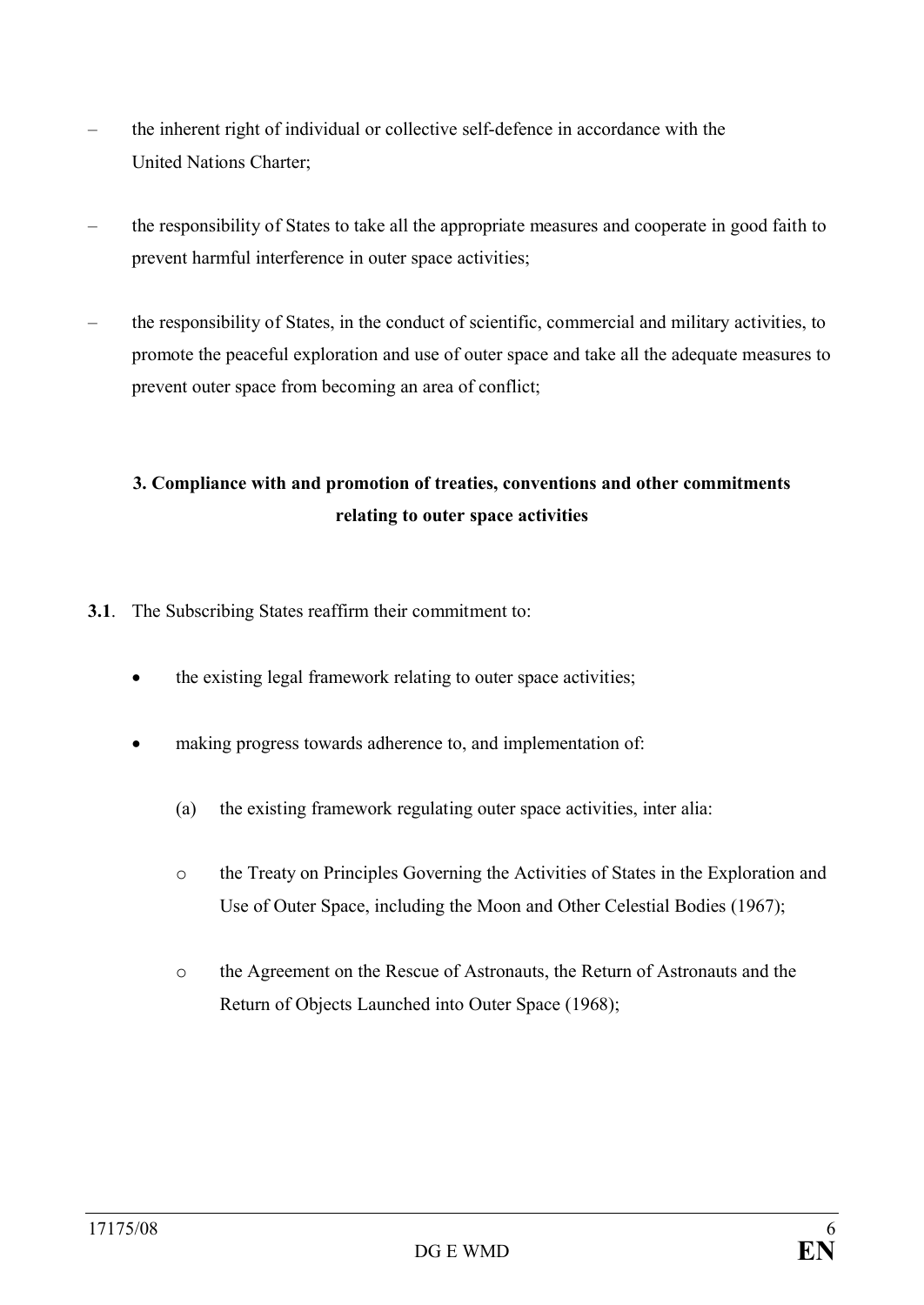- the inherent right of individual or collective self-defence in accordance with the United Nations Charter;
- the responsibility of States to take all the appropriate measures and cooperate in good faith to prevent harmful interference in outer space activities;
- the responsibility of States, in the conduct of scientific, commercial and military activities, to promote the peaceful exploration and use of outer space and take all the adequate measures to prevent outer space from becoming an area of conflict;

# **3. Compliance with and promotion of treaties, conventions and other commitments relating to outer space activities**

- **3.1**. The Subscribing States reaffirm their commitment to:
	- the existing legal framework relating to outer space activities;
	- making progress towards adherence to, and implementation of:
		- (a) the existing framework regulating outer space activities, inter alia:
		- o the Treaty on Principles Governing the Activities of States in the Exploration and Use of Outer Space, including the Moon and Other Celestial Bodies (1967);
		- o the Agreement on the Rescue of Astronauts, the Return of Astronauts and the Return of Objects Launched into Outer Space (1968);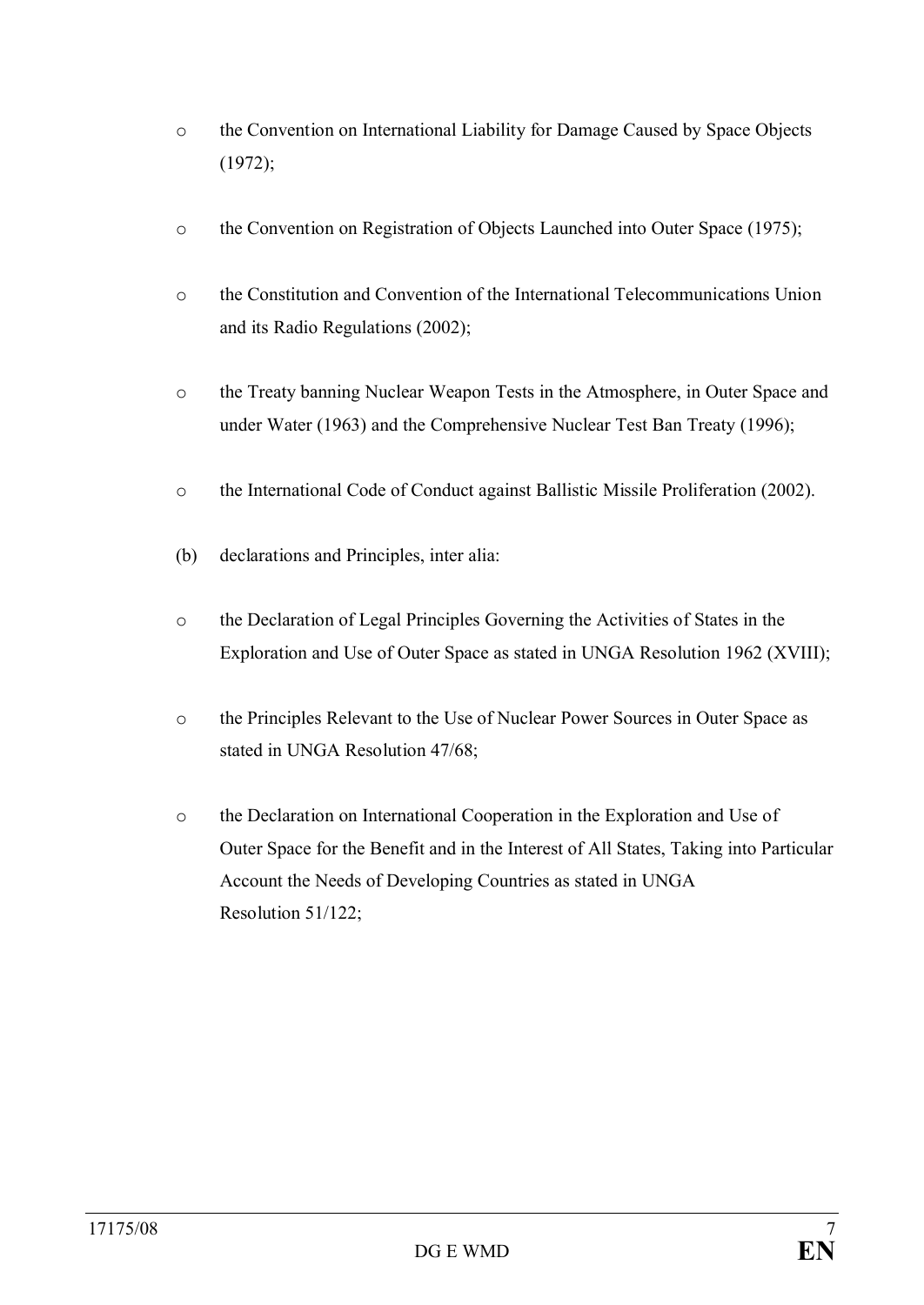- o the Convention on International Liability for Damage Caused by Space Objects (1972);
- o the Convention on Registration of Objects Launched into Outer Space (1975);
- o the Constitution and Convention of the International Telecommunications Union and its Radio Regulations (2002);
- o the Treaty banning Nuclear Weapon Tests in the Atmosphere, in Outer Space and under Water (1963) and the Comprehensive Nuclear Test Ban Treaty (1996);
- o the International Code of Conduct against Ballistic Missile Proliferation (2002).
- (b) declarations and Principles, inter alia:
- o the Declaration of Legal Principles Governing the Activities of States in the Exploration and Use of Outer Space as stated in UNGA Resolution 1962 (XVIII);
- o the Principles Relevant to the Use of Nuclear Power Sources in Outer Space as stated in UNGA Resolution 47/68;
- o the Declaration on International Cooperation in the Exploration and Use of Outer Space for the Benefit and in the Interest of All States, Taking into Particular Account the Needs of Developing Countries as stated in UNGA Resolution 51/122;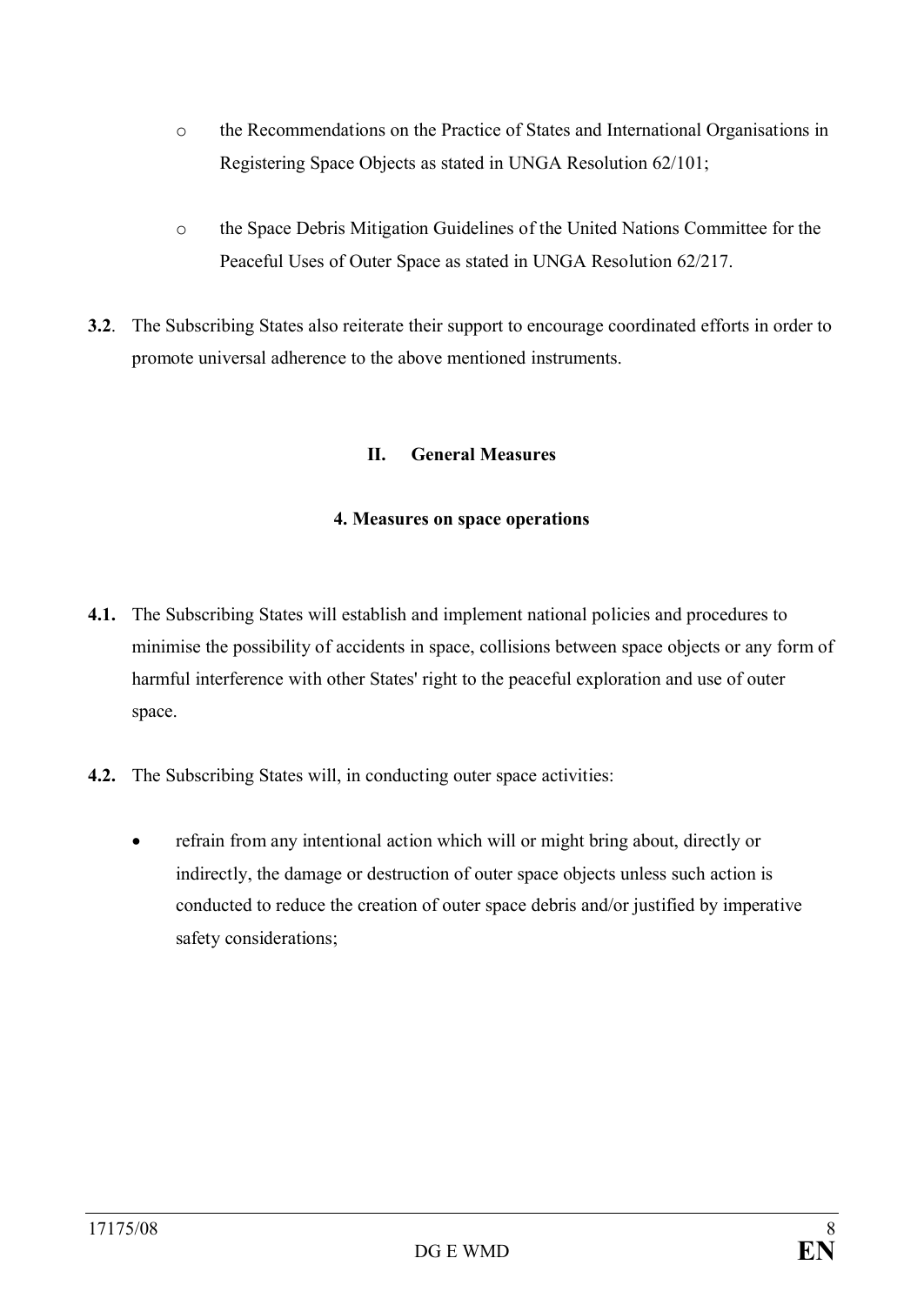- o the Recommendations on the Practice of States and International Organisations in Registering Space Objects as stated in UNGA Resolution 62/101;
- o the Space Debris Mitigation Guidelines of the United Nations Committee for the Peaceful Uses of Outer Space as stated in UNGA Resolution 62/217.
- **3.2**. The Subscribing States also reiterate their support to encourage coordinated efforts in order to promote universal adherence to the above mentioned instruments.

## **II. General Measures**

#### **4. Measures on space operations**

- **4.1.** The Subscribing States will establish and implement national policies and procedures to minimise the possibility of accidents in space, collisions between space objects or any form of harmful interference with other States' right to the peaceful exploration and use of outer space.
- **4.2.** The Subscribing States will, in conducting outer space activities:
	- refrain from any intentional action which will or might bring about, directly or indirectly, the damage or destruction of outer space objects unless such action is conducted to reduce the creation of outer space debris and/or justified by imperative safety considerations;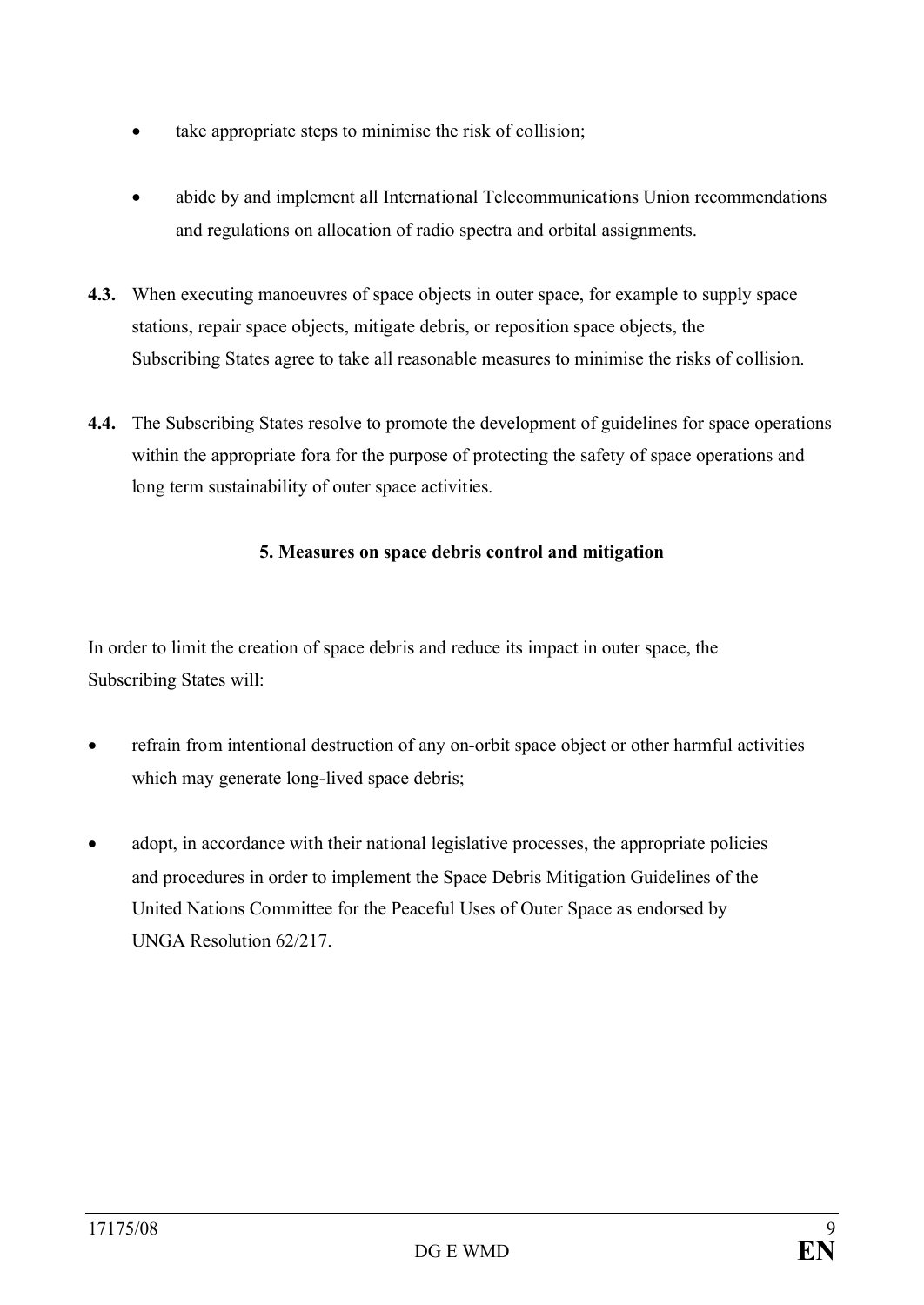- take appropriate steps to minimise the risk of collision;
- abide by and implement all International Telecommunications Union recommendations and regulations on allocation of radio spectra and orbital assignments.
- **4.3.** When executing manoeuvres of space objects in outer space, for example to supply space stations, repair space objects, mitigate debris, or reposition space objects, the Subscribing States agree to take all reasonable measures to minimise the risks of collision.
- **4.4.** The Subscribing States resolve to promote the development of guidelines for space operations within the appropriate fora for the purpose of protecting the safety of space operations and long term sustainability of outer space activities.

# **5. Measures on space debris control and mitigation**

In order to limit the creation of space debris and reduce its impact in outer space, the Subscribing States will:

- refrain from intentional destruction of any on-orbit space object or other harmful activities which may generate long-lived space debris;
- adopt, in accordance with their national legislative processes, the appropriate policies and procedures in order to implement the Space Debris Mitigation Guidelines of the United Nations Committee for the Peaceful Uses of Outer Space as endorsed by UNGA Resolution 62/217.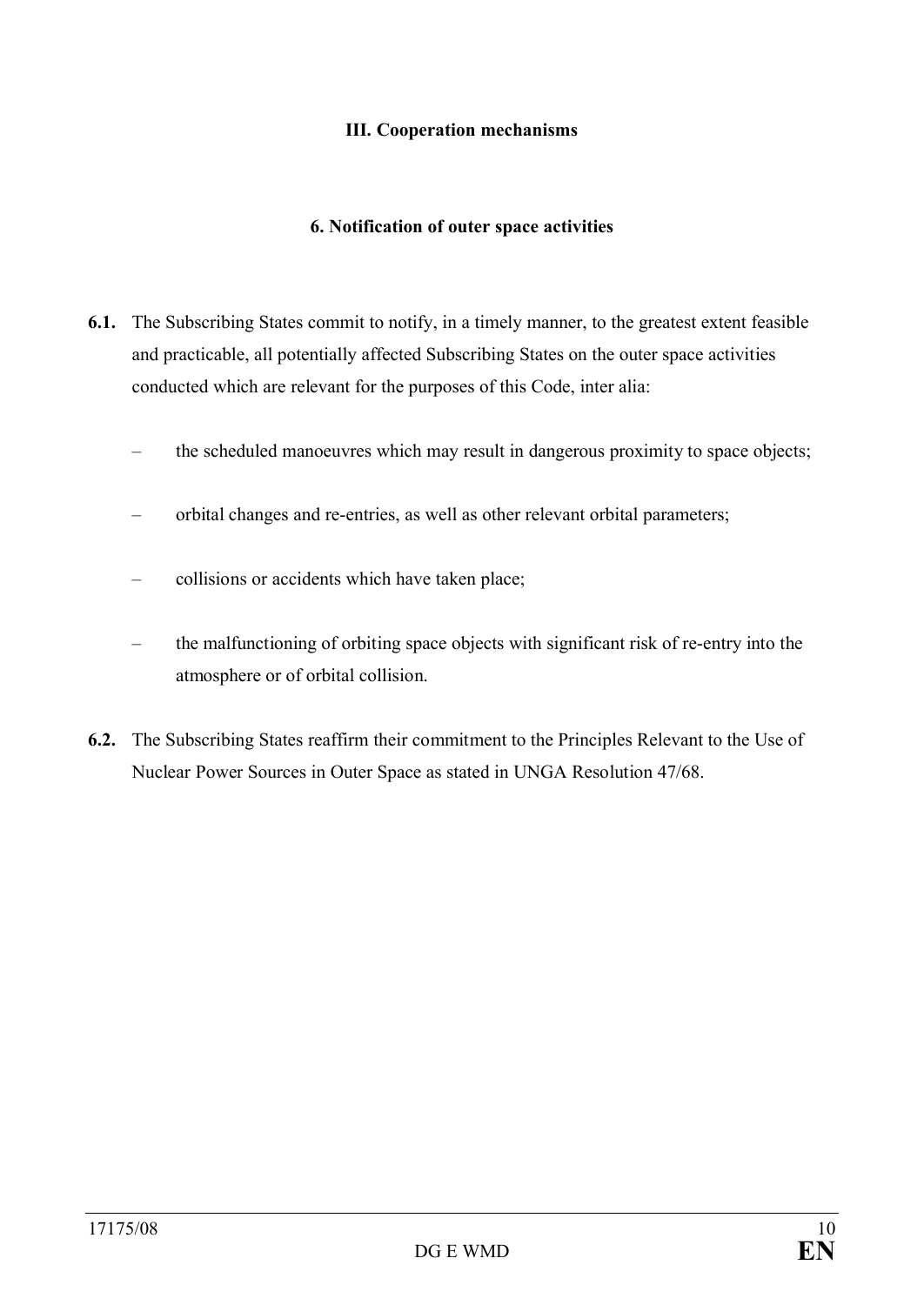## **III. Cooperation mechanisms**

### **6. Notification of outer space activities**

- **6.1.** The Subscribing States commit to notify, in a timely manner, to the greatest extent feasible and practicable, all potentially affected Subscribing States on the outer space activities conducted which are relevant for the purposes of this Code, inter alia:
	- the scheduled manoeuvres which may result in dangerous proximity to space objects;
	- orbital changes and re-entries, as well as other relevant orbital parameters;
	- collisions or accidents which have taken place;
	- the malfunctioning of orbiting space objects with significant risk of re-entry into the atmosphere or of orbital collision.
- **6.2.** The Subscribing States reaffirm their commitment to the Principles Relevant to the Use of Nuclear Power Sources in Outer Space as stated in UNGA Resolution 47/68.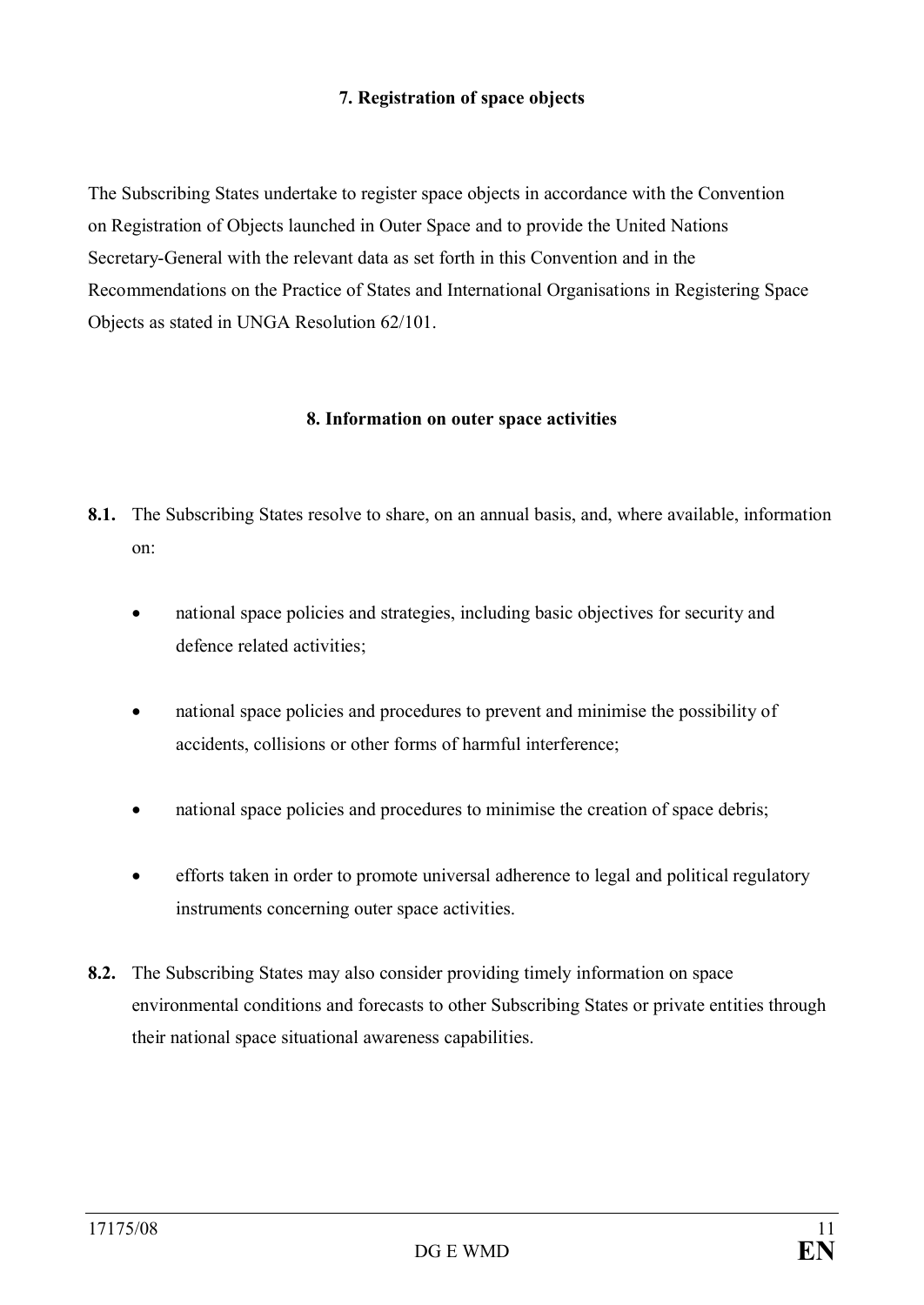# **7. Registration of space objects**

The Subscribing States undertake to register space objects in accordance with the Convention on Registration of Objects launched in Outer Space and to provide the United Nations Secretary-General with the relevant data as set forth in this Convention and in the Recommendations on the Practice of States and International Organisations in Registering Space Objects as stated in UNGA Resolution 62/101.

#### **8. Information on outer space activities**

- **8.1.** The Subscribing States resolve to share, on an annual basis, and, where available, information on:
	- national space policies and strategies, including basic objectives for security and defence related activities;
	- national space policies and procedures to prevent and minimise the possibility of accidents, collisions or other forms of harmful interference;
	- national space policies and procedures to minimise the creation of space debris;
	- · efforts taken in order to promote universal adherence to legal and political regulatory instruments concerning outer space activities.
- **8.2.** The Subscribing States may also consider providing timely information on space environmental conditions and forecasts to other Subscribing States or private entities through their national space situational awareness capabilities.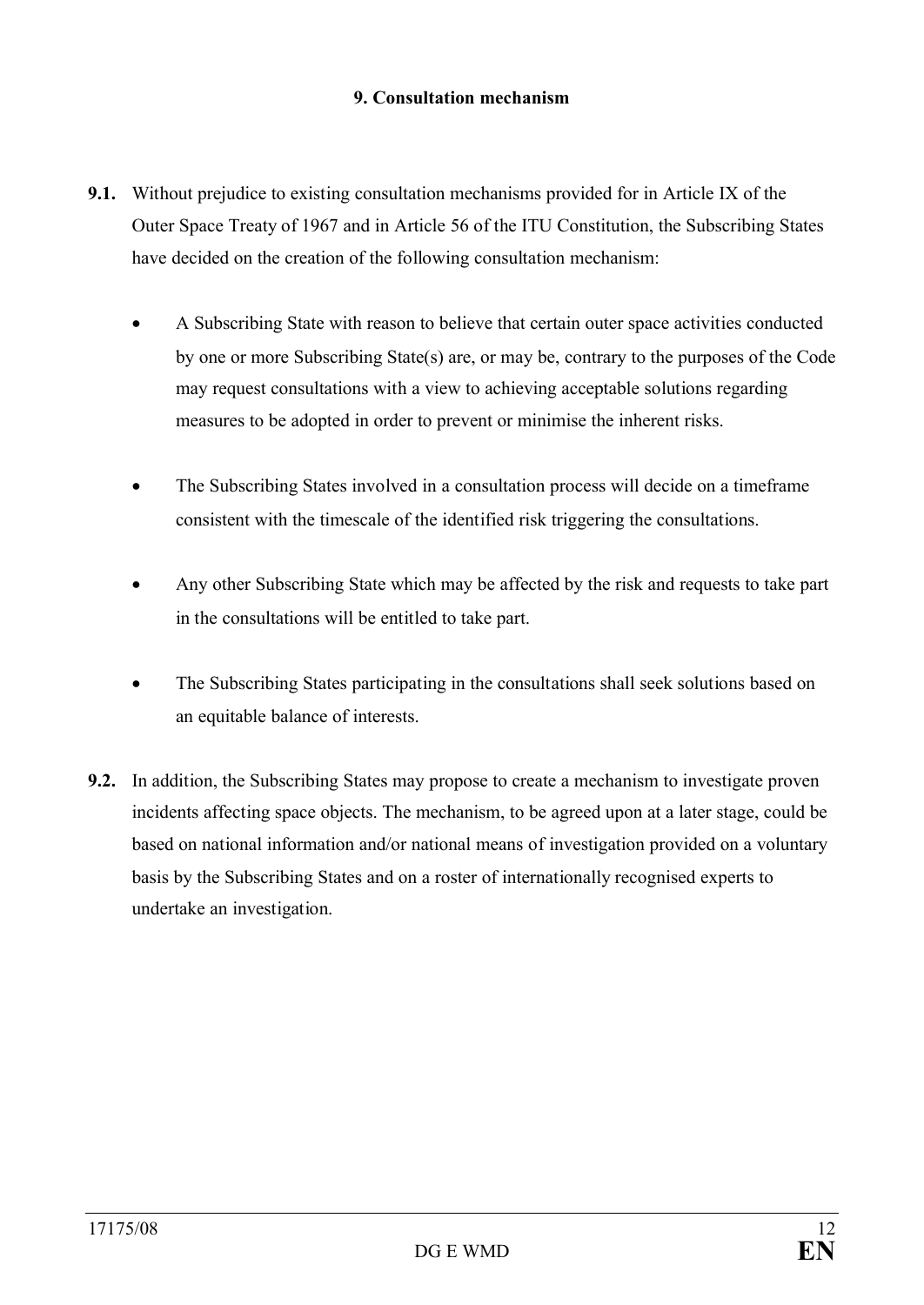# **9. Consultation mechanism**

- **9.1.** Without prejudice to existing consultation mechanisms provided for in Article IX of the Outer Space Treaty of 1967 and in Article 56 of the ITU Constitution, the Subscribing States have decided on the creation of the following consultation mechanism:
	- · A Subscribing State with reason to believe that certain outer space activities conducted by one or more Subscribing State(s) are, or may be, contrary to the purposes of the Code may request consultations with a view to achieving acceptable solutions regarding measures to be adopted in order to prevent or minimise the inherent risks.
	- The Subscribing States involved in a consultation process will decide on a timeframe consistent with the timescale of the identified risk triggering the consultations.
	- Any other Subscribing State which may be affected by the risk and requests to take part in the consultations will be entitled to take part.
	- The Subscribing States participating in the consultations shall seek solutions based on an equitable balance of interests.
- **9.2.** In addition, the Subscribing States may propose to create a mechanism to investigate proven incidents affecting space objects. The mechanism, to be agreed upon at a later stage, could be based on national information and/or national means of investigation provided on a voluntary basis by the Subscribing States and on a roster of internationally recognised experts to undertake an investigation.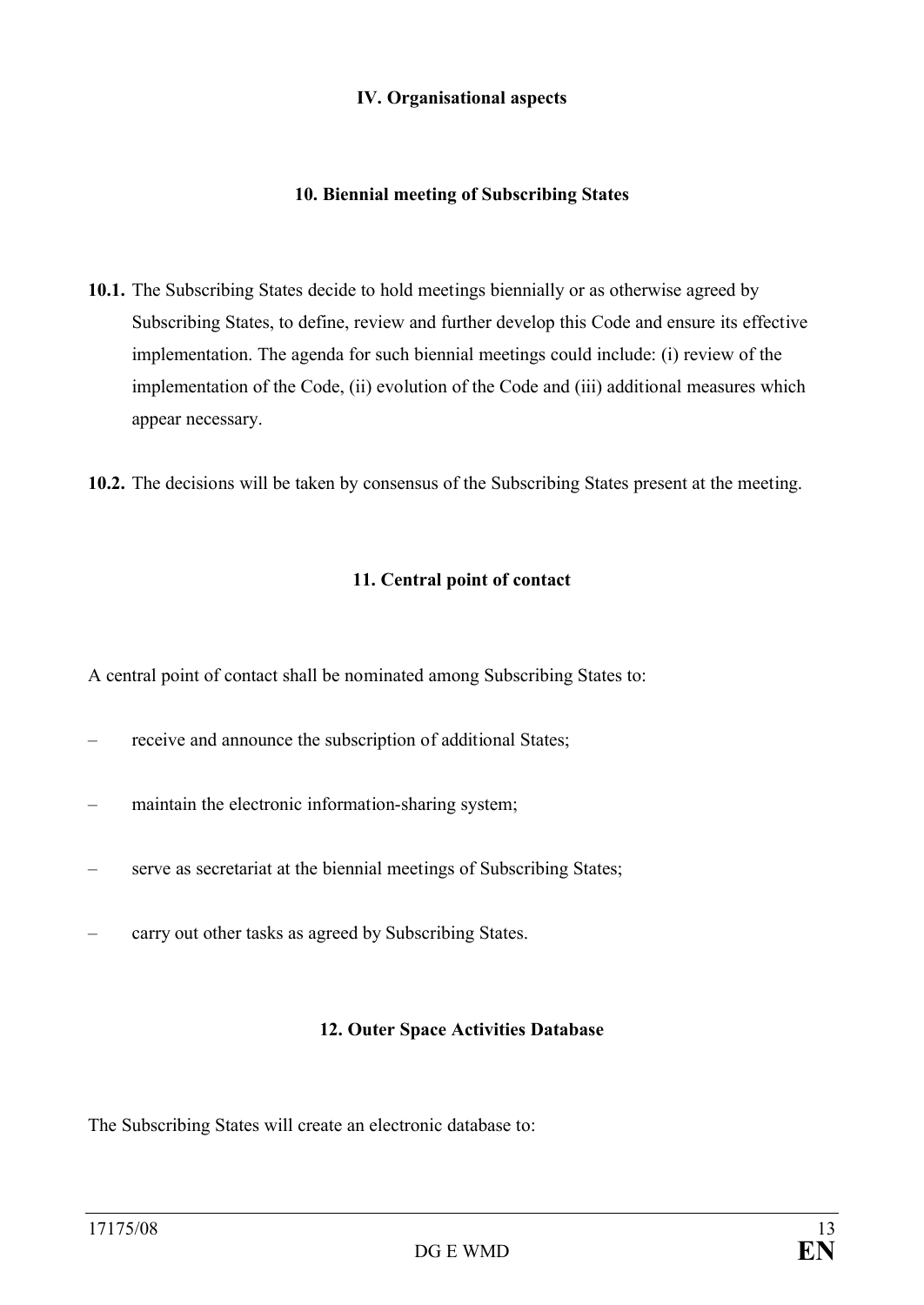#### **IV. Organisational aspects**

### **10. Biennial meeting of Subscribing States**

- **10.1.** The Subscribing States decide to hold meetings biennially or as otherwise agreed by Subscribing States, to define, review and further develop this Code and ensure its effective implementation. The agenda for such biennial meetings could include: (i) review of the implementation of the Code, (ii) evolution of the Code and (iii) additional measures which appear necessary.
- **10.2.** The decisions will be taken by consensus of the Subscribing States present at the meeting.

#### **11. Central point of contact**

A central point of contact shall be nominated among Subscribing States to:

- receive and announce the subscription of additional States;
- maintain the electronic information-sharing system;
- serve as secretariat at the biennial meetings of Subscribing States;
- carry out other tasks as agreed by Subscribing States.

#### **12. Outer Space Activities Database**

The Subscribing States will create an electronic database to: